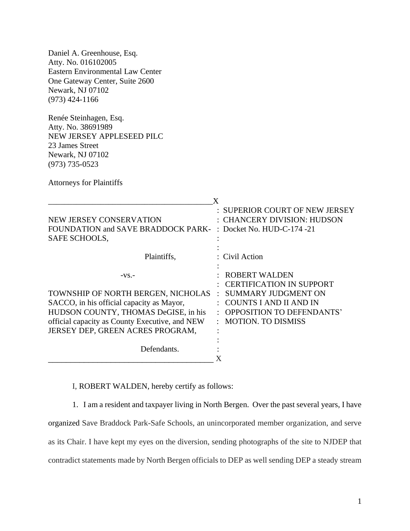Daniel A. Greenhouse, Esq. Atty. No. 016102005 Eastern Environmental Law Center One Gateway Center, Suite 2600 Newark, NJ 07102 (973) 424-1166

Renée Steinhagen, Esq. Atty. No. 38691989 NEW JERSEY APPLESEED PILC 23 James Street Newark, NJ 07102 (973) 735-0523

Attorneys for Plaintiffs

|                                                                                                                                                                                                                          | X                                                                                                                                                                         |
|--------------------------------------------------------------------------------------------------------------------------------------------------------------------------------------------------------------------------|---------------------------------------------------------------------------------------------------------------------------------------------------------------------------|
| NEW JERSEY CONSERVATION<br>FOUNDATION and SAVE BRADDOCK PARK-<br>SAFE SCHOOLS,                                                                                                                                           | : SUPERIOR COURT OF NEW JERSEY<br>: CHANCERY DIVISION: HUDSON<br>: Docket No. HUD-C-174 -21                                                                               |
| Plaintiffs,                                                                                                                                                                                                              | : Civil Action                                                                                                                                                            |
| $-VS$ -<br>TOWNSHIP OF NORTH BERGEN, NICHOLAS<br>SACCO, in his official capacity as Mayor,<br>HUDSON COUNTY, THOMAS DeGISE, in his<br>official capacity as County Executive, and NEW<br>JERSEY DEP, GREEN ACRES PROGRAM, | <b>ROBERT WALDEN</b><br><b>CERTIFICATION IN SUPPORT</b><br>SUMMARY JUDGMENT ON<br>COUNTS I AND II AND IN<br><b>OPPOSITION TO DEFENDANTS'</b><br><b>MOTION. TO DISMISS</b> |
| Defendants.                                                                                                                                                                                                              |                                                                                                                                                                           |

I, ROBERT WALDEN, hereby certify as follows:

1. I am a resident and taxpayer living in North Bergen. Over the past several years, I have organized Save Braddock Park-Safe Schools, an unincorporated member organization, and serve as its Chair. I have kept my eyes on the diversion, sending photographs of the site to NJDEP that contradict statements made by North Bergen officials to DEP as well sending DEP a steady stream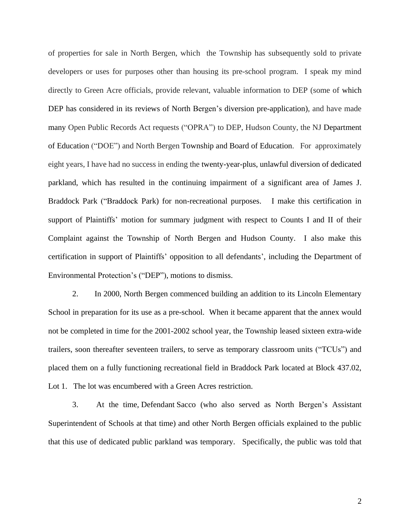of properties for sale in North Bergen, which the Township has subsequently sold to private developers or uses for purposes other than housing its pre-school program. I speak my mind directly to Green Acre officials, provide relevant, valuable information to DEP (some of which DEP has considered in its reviews of North Bergen's diversion pre-application), and have made many Open Public Records Act requests ("OPRA") to DEP, Hudson County, the NJ Department of Education ("DOE") and North Bergen Township and Board of Education. For approximately eight years, I have had no success in ending the twenty-year-plus, unlawful diversion of dedicated parkland, which has resulted in the continuing impairment of a significant area of James J. Braddock Park ("Braddock Park) for non-recreational purposes. I make this certification in support of Plaintiffs' motion for summary judgment with respect to Counts I and II of their Complaint against the Township of North Bergen and Hudson County. I also make this certification in support of Plaintiffs' opposition to all defendants', including the Department of Environmental Protection's ("DEP"), motions to dismiss.

2. In 2000, North Bergen commenced building an addition to its Lincoln Elementary School in preparation for its use as a pre-school. When it became apparent that the annex would not be completed in time for the 2001-2002 school year, the Township leased sixteen extra-wide trailers, soon thereafter seventeen trailers, to serve as temporary classroom units ("TCUs") and placed them on a fully functioning recreational field in Braddock Park located at Block 437.02, Lot 1. The lot was encumbered with a Green Acres restriction.

3. At the time, Defendant Sacco (who also served as North Bergen's Assistant Superintendent of Schools at that time) and other North Bergen officials explained to the public that this use of dedicated public parkland was temporary. Specifically, the public was told that

2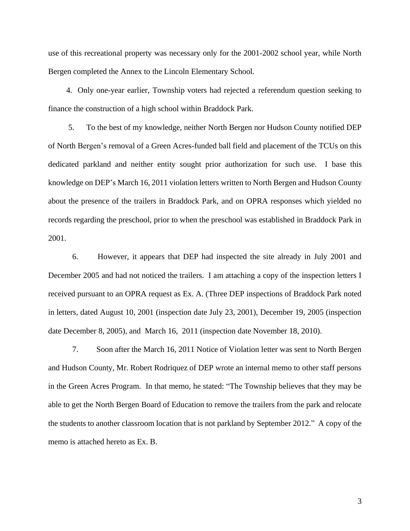use of this recreational property was necessary only for the 2001-2002 school year, while North Bergen completed the Annex to the Lincoln Elementary School.

4. Only one-year earlier, Township voters had rejected a referendum question seeking to finance the construction of a high school within Braddock Park.

 5. To the best of my knowledge, neither North Bergen nor Hudson County notified DEP of North Bergen's removal of a Green Acres-funded ball field and placement of the TCUs on this dedicated parkland and neither entity sought prior authorization for such use. I base this knowledge on DEP's March 16, 2011 violation letters written to North Bergen and Hudson County about the presence of the trailers in Braddock Park, and on OPRA responses which yielded no records regarding the preschool, prior to when the preschool was established in Braddock Park in 2001.

6. However, it appears that DEP had inspected the site already in July 2001 and December 2005 and had not noticed the trailers. I am attaching a copy of the inspection letters I received pursuant to an OPRA request as Ex. A. (Three DEP inspections of Braddock Park noted in letters, dated August 10, 2001 (inspection date July 23, 2001), December 19, 2005 (inspection date December 8, 2005), and March 16, 2011 (inspection date November 18, 2010).

7. Soon after the March 16, 2011 Notice of Violation letter was sent to North Bergen and Hudson County, Mr. Robert Rodriquez of DEP wrote an internal memo to other staff persons in the Green Acres Program. In that memo, he stated: "The Township believes that they may be able to get the North Bergen Board of Education to remove the trailers from the park and relocate the students to another classroom location that is not parkland by September 2012." A copy of the memo is attached hereto as Ex. B.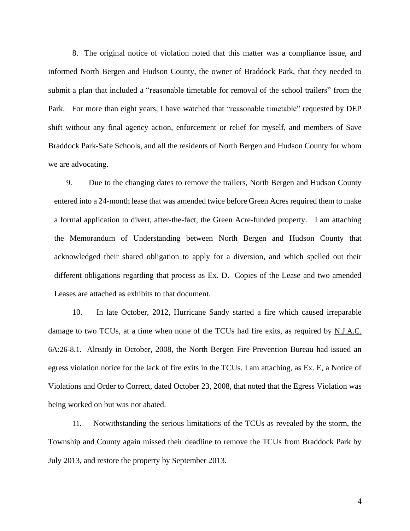8. The original notice of violation noted that this matter was a compliance issue, and informed North Bergen and Hudson County, the owner of Braddock Park, that they needed to submit a plan that included a "reasonable timetable for removal of the school trailers" from the Park. For more than eight years, I have watched that "reasonable timetable" requested by DEP shift without any final agency action, enforcement or relief for myself, and members of Save Braddock Park-Safe Schools, and all the residents of North Bergen and Hudson County for whom we are advocating.

9. Due to the changing dates to remove the trailers, North Bergen and Hudson County entered into a 24-month lease that was amended twice before Green Acres required them to make a formal application to divert, after-the-fact, the Green Acre-funded property. I am attaching the Memorandum of Understanding between North Bergen and Hudson County that acknowledged their shared obligation to apply for a diversion, and which spelled out their different obligations regarding that process as Ex. D. Copies of the Lease and two amended Leases are attached as exhibits to that document.

10. In late October, 2012, Hurricane Sandy started a fire which caused irreparable damage to two TCUs, at a time when none of the TCUs had fire exits, as required by N.J.A.C. 6A:26-8.1. Already in October, 2008, the North Bergen Fire Prevention Bureau had issued an egress violation notice for the lack of fire exits in the TCUs. I am attaching, as Ex. E, a Notice of Violations and Order to Correct, dated October 23, 2008, that noted that the Egress Violation was being worked on but was not abated.

11. Notwithstanding the serious limitations of the TCUs as revealed by the storm, the Township and County again missed their deadline to remove the TCUs from Braddock Park by July 2013, and restore the property by September 2013.

4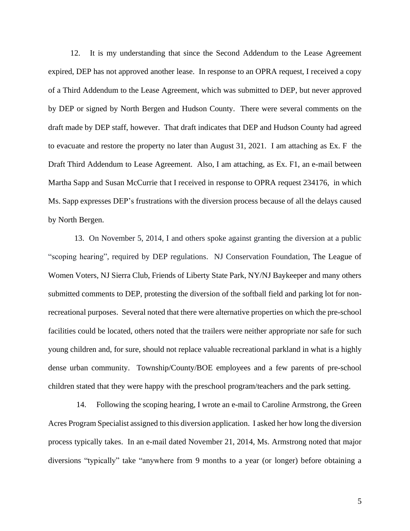12. It is my understanding that since the Second Addendum to the Lease Agreement expired, DEP has not approved another lease. In response to an OPRA request, I received a copy of a Third Addendum to the Lease Agreement, which was submitted to DEP, but never approved by DEP or signed by North Bergen and Hudson County. There were several comments on the draft made by DEP staff, however. That draft indicates that DEP and Hudson County had agreed to evacuate and restore the property no later than August 31, 2021. I am attaching as Ex. F the Draft Third Addendum to Lease Agreement. Also, I am attaching, as Ex. F1, an e-mail between Martha Sapp and Susan McCurrie that I received in response to OPRA request 234176, in which Ms. Sapp expresses DEP's frustrations with the diversion process because of all the delays caused by North Bergen.

 13. On November 5, 2014, I and others spoke against granting the diversion at a public "scoping hearing", required by DEP regulations. NJ Conservation Foundation, The League of Women Voters, NJ Sierra Club, Friends of Liberty State Park, NY/NJ Baykeeper and many others submitted comments to DEP, protesting the diversion of the softball field and parking lot for nonrecreational purposes. Several noted that there were alternative properties on which the pre-school facilities could be located, others noted that the trailers were neither appropriate nor safe for such young children and, for sure, should not replace valuable recreational parkland in what is a highly dense urban community. Township/County/BOE employees and a few parents of pre-school children stated that they were happy with the preschool program/teachers and the park setting.

 14. Following the scoping hearing, I wrote an e-mail to Caroline Armstrong, the Green Acres Program Specialist assigned to this diversion application. I asked her how long the diversion process typically takes. In an e-mail dated November 21, 2014, Ms. Armstrong noted that major diversions "typically" take "anywhere from 9 months to a year (or longer) before obtaining a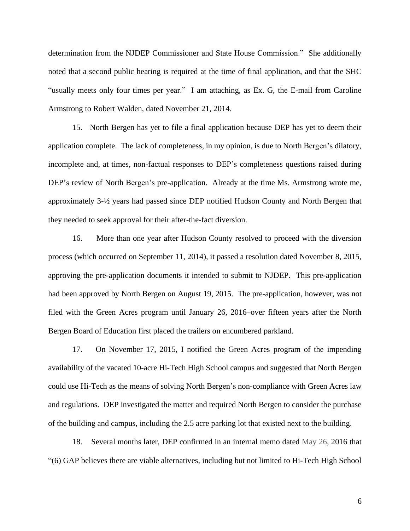determination from the NJDEP Commissioner and State House Commission." She additionally noted that a second public hearing is required at the time of final application, and that the SHC "usually meets only four times per year." I am attaching, as Ex. G, the E-mail from Caroline Armstrong to Robert Walden, dated November 21, 2014.

15. North Bergen has yet to file a final application because DEP has yet to deem their application complete. The lack of completeness, in my opinion, is due to North Bergen's dilatory, incomplete and, at times, non-factual responses to DEP's completeness questions raised during DEP's review of North Bergen's pre-application. Already at the time Ms. Armstrong wrote me, approximately 3-½ years had passed since DEP notified Hudson County and North Bergen that they needed to seek approval for their after-the-fact diversion.

16. More than one year after Hudson County resolved to proceed with the diversion process (which occurred on September 11, 2014), it passed a resolution dated November 8, 2015, approving the pre-application documents it intended to submit to NJDEP. This pre-application had been approved by North Bergen on August 19, 2015. The pre-application, however, was not filed with the Green Acres program until January 26, 2016–over fifteen years after the North Bergen Board of Education first placed the trailers on encumbered parkland.

17. On November 17, 2015, I notified the Green Acres program of the impending availability of the vacated 10-acre Hi-Tech High School campus and suggested that North Bergen could use Hi-Tech as the means of solving North Bergen's non-compliance with Green Acres law and regulations. DEP investigated the matter and required North Bergen to consider the purchase of the building and campus, including the 2.5 acre parking lot that existed next to the building.

18. Several months later, DEP confirmed in an internal memo dated May 26, 2016 that "(6) GAP believes there are viable alternatives, including but not limited to Hi-Tech High School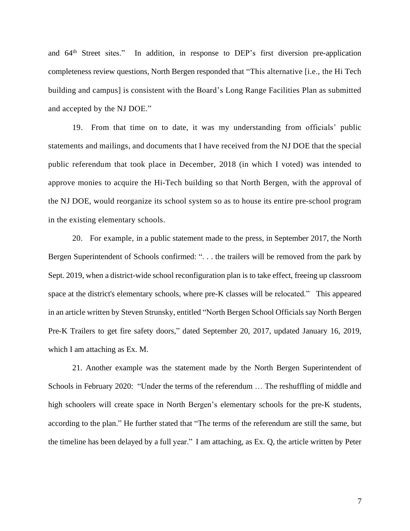and 64th Street sites." In addition, in response to DEP's first diversion pre-application completeness review questions, North Bergen responded that "This alternative [i.e., the Hi Tech building and campus] is consistent with the Board's Long Range Facilities Plan as submitted and accepted by the NJ DOE."

19. From that time on to date, it was my understanding from officials' public statements and mailings, and documents that I have received from the NJ DOE that the special public referendum that took place in December, 2018 (in which I voted) was intended to approve monies to acquire the Hi-Tech building so that North Bergen, with the approval of the NJ DOE, would reorganize its school system so as to house its entire pre-school program in the existing elementary schools.

20. For example, in a public statement made to the press, in September 2017, the North Bergen Superintendent of Schools confirmed: ". . . the trailers will be removed from the park by Sept. 2019, when a district-wide school reconfiguration plan is to take effect, freeing up classroom space at the district's elementary schools, where pre-K classes will be relocated." This appeared in an article written by Steven Strunsky, entitled "North Bergen School Officials say North Bergen Pre-K Trailers to get fire safety doors," dated September 20, 2017, updated January 16, 2019, which I am attaching as Ex. M.

21. Another example was the statement made by the North Bergen Superintendent of Schools in February 2020: "Under the terms of the referendum … The reshuffling of middle and high schoolers will create space in North Bergen's elementary schools for the pre-K students, according to the plan." He further stated that "The terms of the referendum are still the same, but the timeline has been delayed by a full year." I am attaching, as Ex. Q, the article written by Peter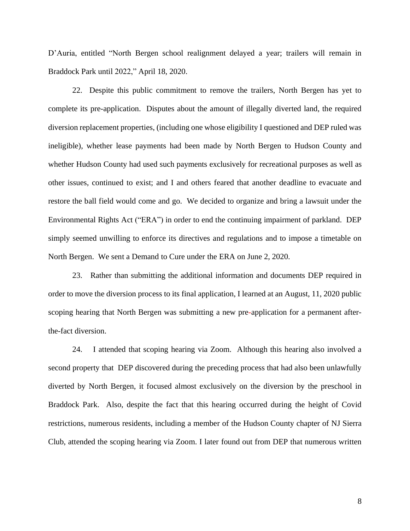D'Auria, entitled "North Bergen school realignment delayed a year; trailers will remain in Braddock Park until 2022," April 18, 2020.

22. Despite this public commitment to remove the trailers, North Bergen has yet to complete its pre-application. Disputes about the amount of illegally diverted land, the required diversion replacement properties, (including one whose eligibility I questioned and DEP ruled was ineligible), whether lease payments had been made by North Bergen to Hudson County and whether Hudson County had used such payments exclusively for recreational purposes as well as other issues, continued to exist; and I and others feared that another deadline to evacuate and restore the ball field would come and go. We decided to organize and bring a lawsuit under the Environmental Rights Act ("ERA") in order to end the continuing impairment of parkland. DEP simply seemed unwilling to enforce its directives and regulations and to impose a timetable on North Bergen. We sent a Demand to Cure under the ERA on June 2, 2020.

23. Rather than submitting the additional information and documents DEP required in order to move the diversion process to its final application, I learned at an August, 11, 2020 public scoping hearing that North Bergen was submitting a new pre-application for a permanent afterthe-fact diversion.

24. I attended that scoping hearing via Zoom. Although this hearing also involved a second property that DEP discovered during the preceding process that had also been unlawfully diverted by North Bergen, it focused almost exclusively on the diversion by the preschool in Braddock Park. Also, despite the fact that this hearing occurred during the height of Covid restrictions, numerous residents, including a member of the Hudson County chapter of NJ Sierra Club, attended the scoping hearing via Zoom. I later found out from DEP that numerous written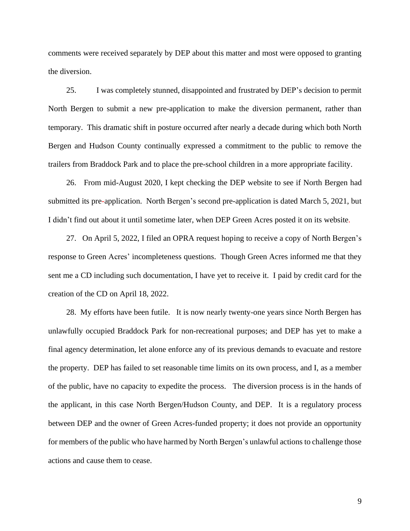comments were received separately by DEP about this matter and most were opposed to granting the diversion.

25. I was completely stunned, disappointed and frustrated by DEP's decision to permit North Bergen to submit a new pre-application to make the diversion permanent, rather than temporary. This dramatic shift in posture occurred after nearly a decade during which both North Bergen and Hudson County continually expressed a commitment to the public to remove the trailers from Braddock Park and to place the pre-school children in a more appropriate facility.

26. From mid-August 2020, I kept checking the DEP website to see if North Bergen had submitted its pre-application. North Bergen's second pre-application is dated March 5, 2021, but I didn't find out about it until sometime later, when DEP Green Acres posted it on its website.

27. On April 5, 2022, I filed an OPRA request hoping to receive a copy of North Bergen's response to Green Acres' incompleteness questions. Though Green Acres informed me that they sent me a CD including such documentation, I have yet to receive it. I paid by credit card for the creation of the CD on April 18, 2022.

 28. My efforts have been futile. It is now nearly twenty-one years since North Bergen has unlawfully occupied Braddock Park for non-recreational purposes; and DEP has yet to make a final agency determination, let alone enforce any of its previous demands to evacuate and restore the property. DEP has failed to set reasonable time limits on its own process, and I, as a member of the public, have no capacity to expedite the process. The diversion process is in the hands of the applicant, in this case North Bergen/Hudson County, and DEP. It is a regulatory process between DEP and the owner of Green Acres-funded property; it does not provide an opportunity for members of the public who have harmed by North Bergen's unlawful actions to challenge those actions and cause them to cease.